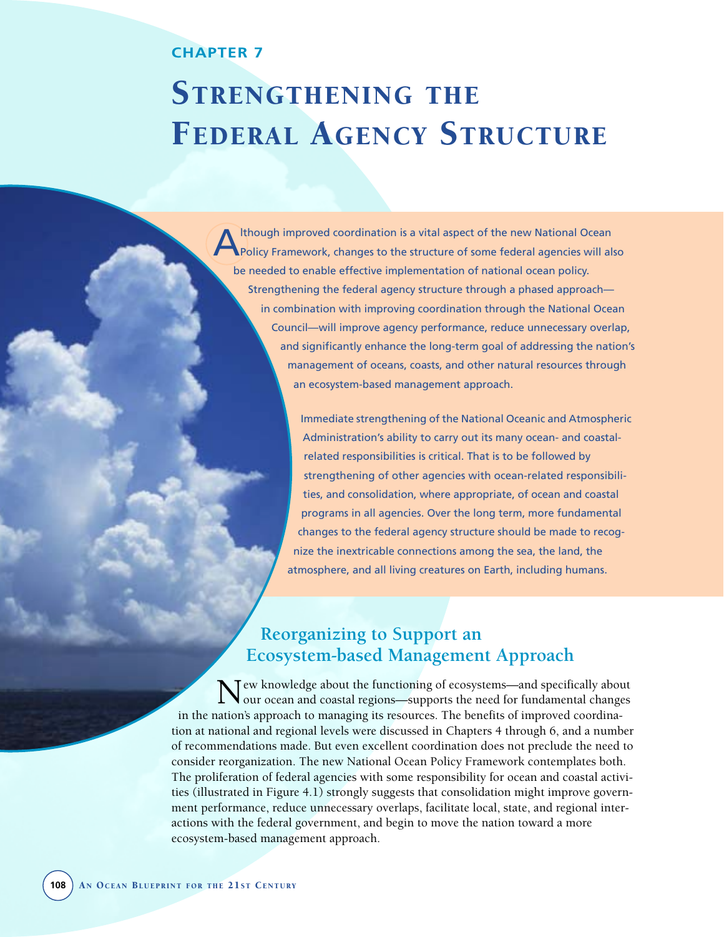## **CHAPTER 7**

# STRENGTHENING THE FEDERAL AGENCY STRUCTURE

Ithough improved coordination is a vital aspect of the new National Ocean Policy Framework, changes to the structure of some federal agencies will also be needed to enable effective implementation of national ocean policy. Strengthening the federal agency structure through a phased approach in combination with improving coordination through the National Ocean Council—will improve agency performance, reduce unnecessary overlap, and significantly enhance the long-term goal of addressing the nation's management of oceans, coasts, and other natural resources through an ecosystem-based management approach.

> Immediate strengthening of the National Oceanic and Atmospheric Administration's ability to carry out its many ocean- and coastalrelated responsibilities is critical. That is to be followed by strengthening of other agencies with ocean-related responsibilities, and consolidation, where appropriate, of ocean and coastal programs in all agencies. Over the long term, more fundamental changes to the federal agency structure should be made to recognize the inextricable connections among the sea, the land, the atmosphere, and all living creatures on Earth, including humans.

# **Reorganizing to Support an Ecosystem-based Management Approach**

Tew knowledge about the functioning of ecosystems—and specifically about our ocean and coastal regions—supports the need for fundamental changes in the nation's approach to managing its resources. The benefits of improved coordination at national and regional levels were discussed in Chapters 4 through 6, and a number of recommendations made. But even excellent coordination does not preclude the need to consider reorganization. The new National Ocean Policy Framework contemplates both. The proliferation of federal agencies with some responsibility for ocean and coastal activities (illustrated in Figure 4.1) strongly suggests that consolidation might improve government performance, reduce unnecessary overlaps, facilitate local, state, and regional interactions with the federal government, and begin to move the nation toward a more ecosystem-based management approach.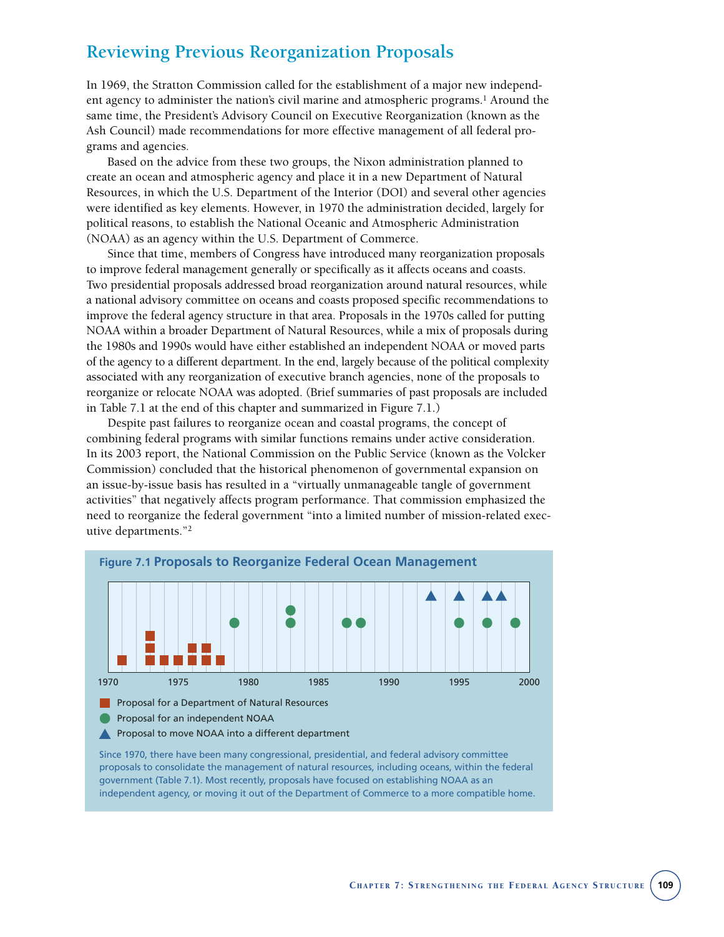# **Reviewing Previous Reorganization Proposals**

In 1969, the Stratton Commission called for the establishment of a major new independent agency to administer the nation's civil marine and atmospheric programs.<sup>1</sup> Around the same time, the President's Advisory Council on Executive Reorganization (known as the Ash Council) made recommendations for more effective management of all federal programs and agencies.

Based on the advice from these two groups, the Nixon administration planned to create an ocean and atmospheric agency and place it in a new Department of Natural Resources, in which the U.S. Department of the Interior (DOI) and several other agencies were identified as key elements. However, in 1970 the administration decided, largely for political reasons, to establish the National Oceanic and Atmospheric Administration (NOAA) as an agency within the U.S. Department of Commerce.

Since that time, members of Congress have introduced many reorganization proposals to improve federal management generally or specifically as it affects oceans and coasts. Two presidential proposals addressed broad reorganization around natural resources, while a national advisory committee on oceans and coasts proposed specific recommendations to improve the federal agency structure in that area. Proposals in the 1970s called for putting NOAA within a broader Department of Natural Resources, while a mix of proposals during the 1980s and 1990s would have either established an independent NOAA or moved parts of the agency to a different department. In the end, largely because of the political complexity associated with any reorganization of executive branch agencies, none of the proposals to reorganize or relocate NOAA was adopted. (Brief summaries of past proposals are included in Table 7.1 at the end of this chapter and summarized in Figure 7.1.)

Despite past failures to reorganize ocean and coastal programs, the concept of combining federal programs with similar functions remains under active consideration. In its 2003 report, the National Commission on the Public Service (known as the Volcker Commission) concluded that the historical phenomenon of governmental expansion on an issue-by-issue basis has resulted in a "virtually unmanageable tangle of government activities" that negatively affects program performance. That commission emphasized the need to reorganize the federal government "into a limited number of mission-related executive departments."2



proposals to consolidate the management of natural resources, including oceans, within the federal government (Table 7.1). Most recently, proposals have focused on establishing NOAA as an independent agency, or moving it out of the Department of Commerce to a more compatible home.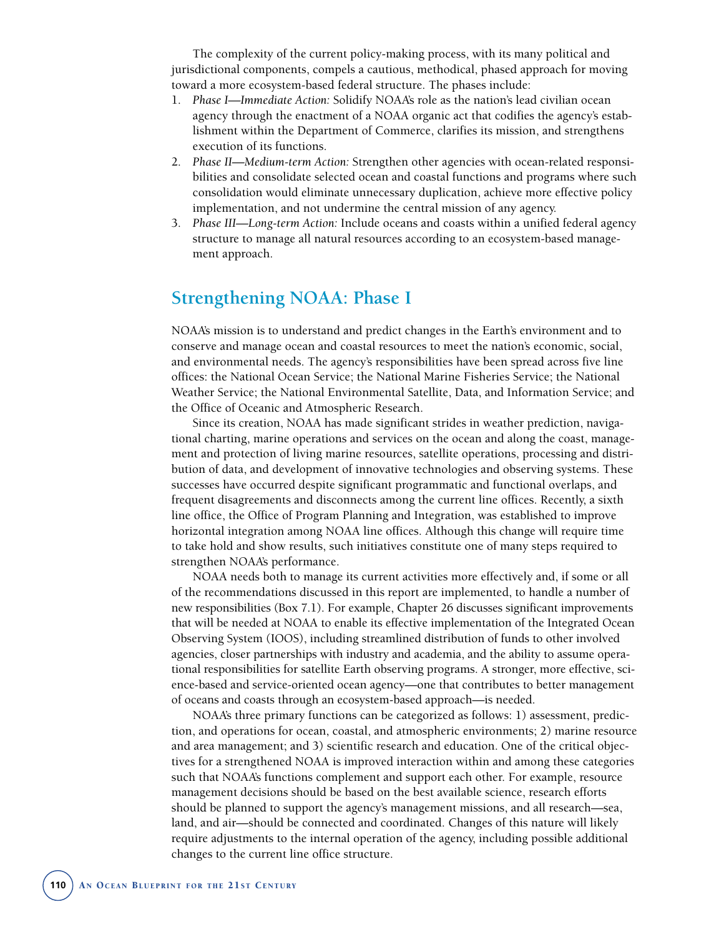The complexity of the current policy-making process, with its many political and jurisdictional components, compels a cautious, methodical, phased approach for moving toward a more ecosystem-based federal structure. The phases include:

- 1. *Phase I—Immediate Action:* Solidify NOAA's role as the nation's lead civilian ocean agency through the enactment of a NOAA organic act that codifies the agency's establishment within the Department of Commerce, clarifies its mission, and strengthens execution of its functions.
- 2. *Phase II—Medium-term Action:* Strengthen other agencies with ocean-related responsibilities and consolidate selected ocean and coastal functions and programs where such consolidation would eliminate unnecessary duplication, achieve more effective policy implementation, and not undermine the central mission of any agency.
- 3. *Phase III—Long-term Action:* Include oceans and coasts within a unified federal agency structure to manage all natural resources according to an ecosystem-based management approach.

# **Strengthening NOAA: Phase I**

NOAA's mission is to understand and predict changes in the Earth's environment and to conserve and manage ocean and coastal resources to meet the nation's economic, social, and environmental needs. The agency's responsibilities have been spread across five line offices: the National Ocean Service; the National Marine Fisheries Service; the National Weather Service; the National Environmental Satellite, Data, and Information Service; and the Office of Oceanic and Atmospheric Research.

Since its creation, NOAA has made significant strides in weather prediction, navigational charting, marine operations and services on the ocean and along the coast, management and protection of living marine resources, satellite operations, processing and distribution of data, and development of innovative technologies and observing systems. These successes have occurred despite significant programmatic and functional overlaps, and frequent disagreements and disconnects among the current line offices. Recently, a sixth line office, the Office of Program Planning and Integration, was established to improve horizontal integration among NOAA line offices. Although this change will require time to take hold and show results, such initiatives constitute one of many steps required to strengthen NOAA's performance.

NOAA needs both to manage its current activities more effectively and, if some or all of the recommendations discussed in this report are implemented, to handle a number of new responsibilities (Box 7.1). For example, Chapter 26 discusses significant improvements that will be needed at NOAA to enable its effective implementation of the Integrated Ocean Observing System (IOOS), including streamlined distribution of funds to other involved agencies, closer partnerships with industry and academia, and the ability to assume operational responsibilities for satellite Earth observing programs. A stronger, more effective, science-based and service-oriented ocean agency—one that contributes to better management of oceans and coasts through an ecosystem-based approach—is needed.

NOAA's three primary functions can be categorized as follows: 1) assessment, prediction, and operations for ocean, coastal, and atmospheric environments; 2) marine resource and area management; and 3) scientific research and education. One of the critical objectives for a strengthened NOAA is improved interaction within and among these categories such that NOAA's functions complement and support each other. For example, resource management decisions should be based on the best available science, research efforts should be planned to support the agency's management missions, and all research—sea, land, and air—should be connected and coordinated. Changes of this nature will likely require adjustments to the internal operation of the agency, including possible additional changes to the current line office structure.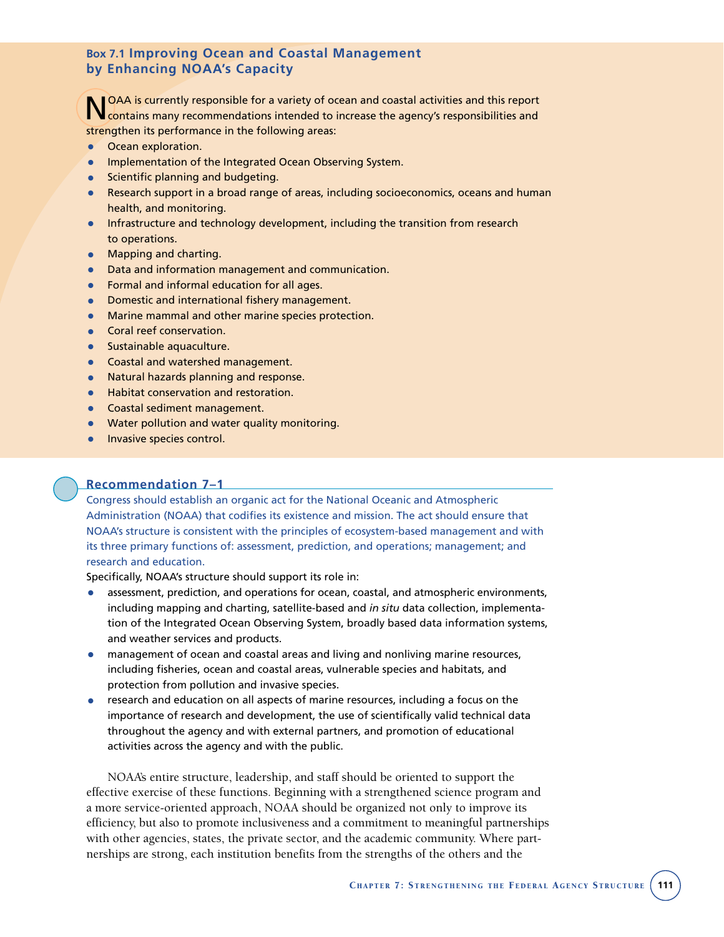## **Box 7.1 Improving Ocean and Coastal Management by Enhancing NOAA's Capacity**

**NOAA is currently responsible for a variety of ocean and coastal activities and this report** contains many recommendations intended to increase the agency's responsibilities and strengthen its performance in the following areas:

- Ocean exploration.
- Implementation of the Integrated Ocean Observing System.
- Scientific planning and budgeting.
- Research support in a broad range of areas, including socioeconomics, oceans and human health, and monitoring.
- Infrastructure and technology development, including the transition from research to operations.
- Mapping and charting.
- Data and information management and communication.
- Formal and informal education for all ages.
- Domestic and international fishery management.
- Marine mammal and other marine species protection.
- Coral reef conservation.
- Sustainable aquaculture.
- Coastal and watershed management.
- Natural hazards planning and response.
- Habitat conservation and restoration.
- Coastal sediment management.
- Water pollution and water quality monitoring.
- **•** Invasive species control.

#### **Recommendation 7–1**

Congress should establish an organic act for the National Oceanic and Atmospheric Administration (NOAA) that codifies its existence and mission. The act should ensure that NOAA's structure is consistent with the principles of ecosystem-based management and with its three primary functions of: assessment, prediction, and operations; management; and research and education.

Specifically, NOAA's structure should support its role in:

- assessment, prediction, and operations for ocean, coastal, and atmospheric environments, including mapping and charting, satellite-based and *in situ* data collection, implementation of the Integrated Ocean Observing System, broadly based data information systems, and weather services and products.
- management of ocean and coastal areas and living and nonliving marine resources, including fisheries, ocean and coastal areas, vulnerable species and habitats, and protection from pollution and invasive species.
- research and education on all aspects of marine resources, including a focus on the importance of research and development, the use of scientifically valid technical data throughout the agency and with external partners, and promotion of educational activities across the agency and with the public.

NOAA's entire structure, leadership, and staff should be oriented to support the effective exercise of these functions. Beginning with a strengthened science program and a more service-oriented approach, NOAA should be organized not only to improve its efficiency, but also to promote inclusiveness and a commitment to meaningful partnerships with other agencies, states, the private sector, and the academic community. Where partnerships are strong, each institution benefits from the strengths of the others and the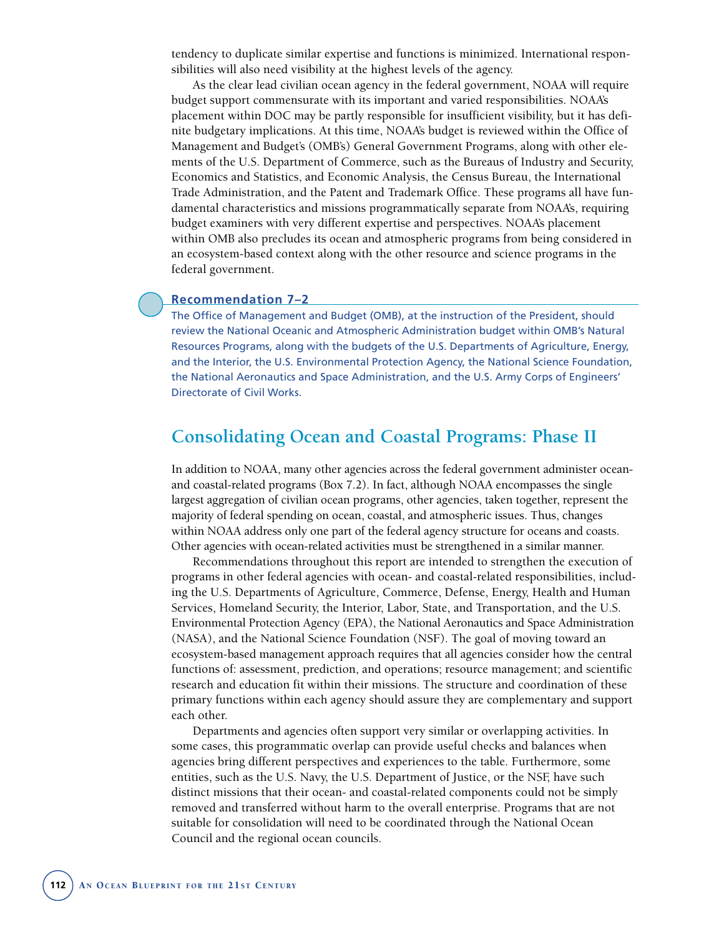tendency to duplicate similar expertise and functions is minimized. International responsibilities will also need visibility at the highest levels of the agency.

As the clear lead civilian ocean agency in the federal government, NOAA will require budget support commensurate with its important and varied responsibilities. NOAA's placement within DOC may be partly responsible for insufficient visibility, but it has definite budgetary implications. At this time, NOAA's budget is reviewed within the Office of Management and Budget's (OMB's) General Government Programs, along with other elements of the U.S. Department of Commerce, such as the Bureaus of Industry and Security, Economics and Statistics, and Economic Analysis, the Census Bureau, the International Trade Administration, and the Patent and Trademark Office. These programs all have fundamental characteristics and missions programmatically separate from NOAA's, requiring budget examiners with very different expertise and perspectives. NOAA's placement within OMB also precludes its ocean and atmospheric programs from being considered in an ecosystem-based context along with the other resource and science programs in the federal government.

#### **Recommendation 7–2**

The Office of Management and Budget (OMB), at the instruction of the President, should review the National Oceanic and Atmospheric Administration budget within OMB's Natural Resources Programs, along with the budgets of the U.S. Departments of Agriculture, Energy, and the Interior, the U.S. Environmental Protection Agency, the National Science Foundation, the National Aeronautics and Space Administration, and the U.S. Army Corps of Engineers' Directorate of Civil Works.

## **Consolidating Ocean and Coastal Programs: Phase II**

In addition to NOAA, many other agencies across the federal government administer oceanand coastal-related programs (Box 7.2). In fact, although NOAA encompasses the single largest aggregation of civilian ocean programs, other agencies, taken together, represent the majority of federal spending on ocean, coastal, and atmospheric issues. Thus, changes within NOAA address only one part of the federal agency structure for oceans and coasts. Other agencies with ocean-related activities must be strengthened in a similar manner.

Recommendations throughout this report are intended to strengthen the execution of programs in other federal agencies with ocean- and coastal-related responsibilities, including the U.S. Departments of Agriculture, Commerce, Defense, Energy, Health and Human Services, Homeland Security, the Interior, Labor, State, and Transportation, and the U.S. Environmental Protection Agency (EPA), the National Aeronautics and Space Administration (NASA), and the National Science Foundation (NSF). The goal of moving toward an ecosystem-based management approach requires that all agencies consider how the central functions of: assessment, prediction, and operations; resource management; and scientific research and education fit within their missions. The structure and coordination of these primary functions within each agency should assure they are complementary and support each other.

Departments and agencies often support very similar or overlapping activities. In some cases, this programmatic overlap can provide useful checks and balances when agencies bring different perspectives and experiences to the table. Furthermore, some entities, such as the U.S. Navy, the U.S. Department of Justice, or the NSF, have such distinct missions that their ocean- and coastal-related components could not be simply removed and transferred without harm to the overall enterprise. Programs that are not suitable for consolidation will need to be coordinated through the National Ocean Council and the regional ocean councils.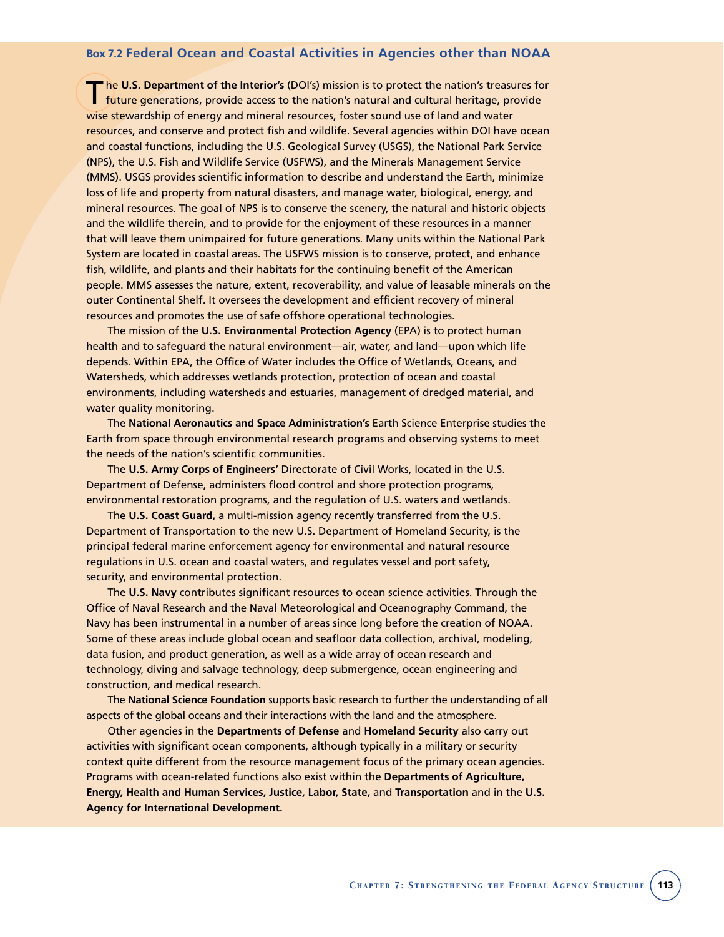#### **Box 7.2 Federal Ocean and Coastal Activities in Agencies other than NOAA**

T he **U.S. Department of the Interior's** (DOI's) mission is to protect the nation's treasures for future generations, provide access to the nation's natural and cultural heritage, provide wise stewardship of energy and mineral resources, foster sound use of land and water resources, and conserve and protect fish and wildlife. Several agencies within DOI have ocean and coastal functions, including the U.S. Geological Survey (USGS), the National Park Service (NPS), the U.S. Fish and Wildlife Service (USFWS), and the Minerals Management Service (MMS). USGS provides scientific information to describe and understand the Earth, minimize loss of life and property from natural disasters, and manage water, biological, energy, and mineral resources. The goal of NPS is to conserve the scenery, the natural and historic objects and the wildlife therein, and to provide for the enjoyment of these resources in a manner that will leave them unimpaired for future generations. Many units within the National Park System are located in coastal areas. The USFWS mission is to conserve, protect, and enhance fish, wildlife, and plants and their habitats for the continuing benefit of the American people. MMS assesses the nature, extent, recoverability, and value of leasable minerals on the outer Continental Shelf. It oversees the development and efficient recovery of mineral resources and promotes the use of safe offshore operational technologies.

The mission of the **U.S. Environmental Protection Agency** (EPA) is to protect human health and to safeguard the natural environment—air, water, and land—upon which life depends. Within EPA, the Office of Water includes the Office of Wetlands, Oceans, and Watersheds, which addresses wetlands protection, protection of ocean and coastal environments, including watersheds and estuaries, management of dredged material, and water quality monitoring.

The **National Aeronautics and Space Administration's** Earth Science Enterprise studies the Earth from space through environmental research programs and observing systems to meet the needs of the nation's scientific communities.

The **U.S. Army Corps of Engineers'** Directorate of Civil Works, located in the U.S. Department of Defense, administers flood control and shore protection programs, environmental restoration programs, and the regulation of U.S. waters and wetlands.

The **U.S. Coast Guard,** a multi-mission agency recently transferred from the U.S. Department of Transportation to the new U.S. Department of Homeland Security, is the principal federal marine enforcement agency for environmental and natural resource regulations in U.S. ocean and coastal waters, and regulates vessel and port safety, security, and environmental protection.

The **U.S. Navy** contributes significant resources to ocean science activities. Through the Office of Naval Research and the Naval Meteorological and Oceanography Command, the Navy has been instrumental in a number of areas since long before the creation of NOAA. Some of these areas include global ocean and seafloor data collection, archival, modeling, data fusion, and product generation, as well as a wide array of ocean research and technology, diving and salvage technology, deep submergence, ocean engineering and construction, and medical research.

The **National Science Foundation** supports basic research to further the understanding of all aspects of the global oceans and their interactions with the land and the atmosphere.

Other agencies in the **Departments of Defense** and **Homeland Security** also carry out activities with significant ocean components, although typically in a military or security context quite different from the resource management focus of the primary ocean agencies. Programs with ocean-related functions also exist within the **Departments of Agriculture, Energy, Health and Human Services, Justice, Labor, State,** and **Transportation** and in the **U.S. Agency for International Development.**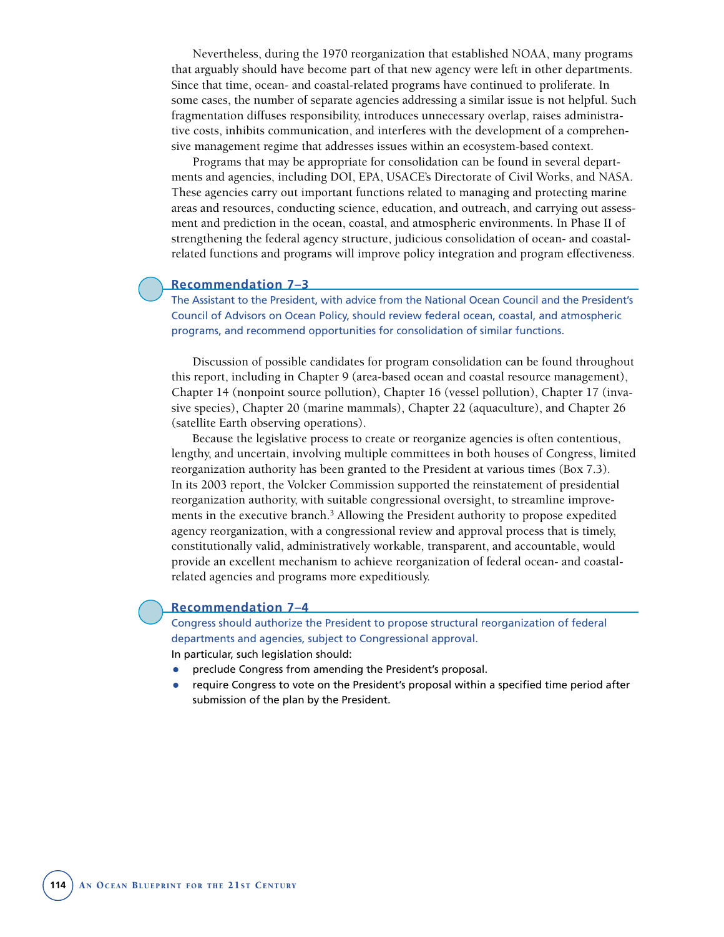Nevertheless, during the 1970 reorganization that established NOAA, many programs that arguably should have become part of that new agency were left in other departments. Since that time, ocean- and coastal-related programs have continued to proliferate. In some cases, the number of separate agencies addressing a similar issue is not helpful. Such fragmentation diffuses responsibility, introduces unnecessary overlap, raises administrative costs, inhibits communication, and interferes with the development of a comprehensive management regime that addresses issues within an ecosystem-based context.

Programs that may be appropriate for consolidation can be found in several departments and agencies, including DOI, EPA, USACE's Directorate of Civil Works, and NASA. These agencies carry out important functions related to managing and protecting marine areas and resources, conducting science, education, and outreach, and carrying out assessment and prediction in the ocean, coastal, and atmospheric environments. In Phase II of strengthening the federal agency structure, judicious consolidation of ocean- and coastalrelated functions and programs will improve policy integration and program effectiveness.

#### **Recommendation 7–3**

The Assistant to the President, with advice from the National Ocean Council and the President's Council of Advisors on Ocean Policy, should review federal ocean, coastal, and atmospheric programs, and recommend opportunities for consolidation of similar functions.

Discussion of possible candidates for program consolidation can be found throughout this report, including in Chapter 9 (area-based ocean and coastal resource management), Chapter 14 (nonpoint source pollution), Chapter 16 (vessel pollution), Chapter 17 (invasive species), Chapter 20 (marine mammals), Chapter 22 (aquaculture), and Chapter 26 (satellite Earth observing operations).

Because the legislative process to create or reorganize agencies is often contentious, lengthy, and uncertain, involving multiple committees in both houses of Congress, limited reorganization authority has been granted to the President at various times (Box 7.3). In its 2003 report, the Volcker Commission supported the reinstatement of presidential reorganization authority, with suitable congressional oversight, to streamline improvements in the executive branch.3 Allowing the President authority to propose expedited agency reorganization, with a congressional review and approval process that is timely, constitutionally valid, administratively workable, transparent, and accountable, would provide an excellent mechanism to achieve reorganization of federal ocean- and coastalrelated agencies and programs more expeditiously.

#### **Recommendation 7–4**

Congress should authorize the President to propose structural reorganization of federal departments and agencies, subject to Congressional approval. In particular, such legislation should:

- preclude Congress from amending the President's proposal.
- require Congress to vote on the President's proposal within a specified time period after submission of the plan by the President.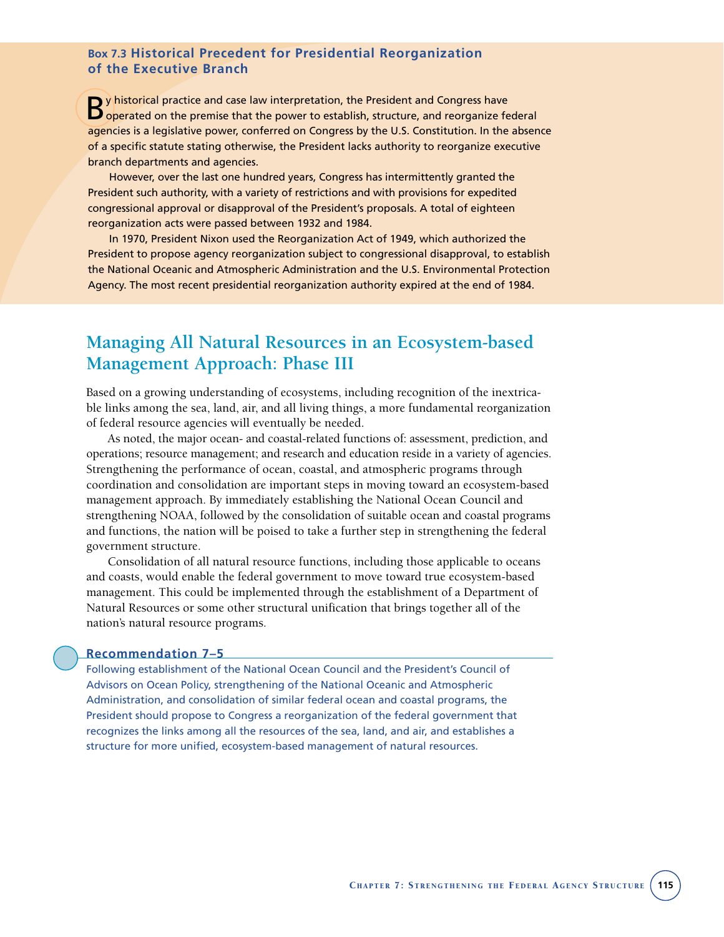## **Box 7.3 Historical Precedent for Presidential Reorganization of the Executive Branch**

By historical practice and case law interpretation, the President and Congress have<br>Boperated on the premise that the power to establish, structure, and reorganize federal agencies is a legislative power, conferred on Congress by the U.S. Constitution. In the absence of a specific statute stating otherwise, the President lacks authority to reorganize executive branch departments and agencies.

However, over the last one hundred years, Congress has intermittently granted the President such authority, with a variety of restrictions and with provisions for expedited congressional approval or disapproval of the President's proposals. A total of eighteen reorganization acts were passed between 1932 and 1984.

In 1970, President Nixon used the Reorganization Act of 1949, which authorized the President to propose agency reorganization subject to congressional disapproval, to establish the National Oceanic and Atmospheric Administration and the U.S. Environmental Protection Agency. The most recent presidential reorganization authority expired at the end of 1984.

# **Managing All Natural Resources in an Ecosystem-based Management Approach: Phase III**

Based on a growing understanding of ecosystems, including recognition of the inextricable links among the sea, land, air, and all living things, a more fundamental reorganization of federal resource agencies will eventually be needed.

As noted, the major ocean- and coastal-related functions of: assessment, prediction, and operations; resource management; and research and education reside in a variety of agencies. Strengthening the performance of ocean, coastal, and atmospheric programs through coordination and consolidation are important steps in moving toward an ecosystem-based management approach. By immediately establishing the National Ocean Council and strengthening NOAA, followed by the consolidation of suitable ocean and coastal programs and functions, the nation will be poised to take a further step in strengthening the federal government structure.

Consolidation of all natural resource functions, including those applicable to oceans and coasts, would enable the federal government to move toward true ecosystem-based management. This could be implemented through the establishment of a Department of Natural Resources or some other structural unification that brings together all of the nation's natural resource programs.

#### **Recommendation 7–5**

Following establishment of the National Ocean Council and the President's Council of Advisors on Ocean Policy, strengthening of the National Oceanic and Atmospheric Administration, and consolidation of similar federal ocean and coastal programs, the President should propose to Congress a reorganization of the federal government that recognizes the links among all the resources of the sea, land, and air, and establishes a structure for more unified, ecosystem-based management of natural resources.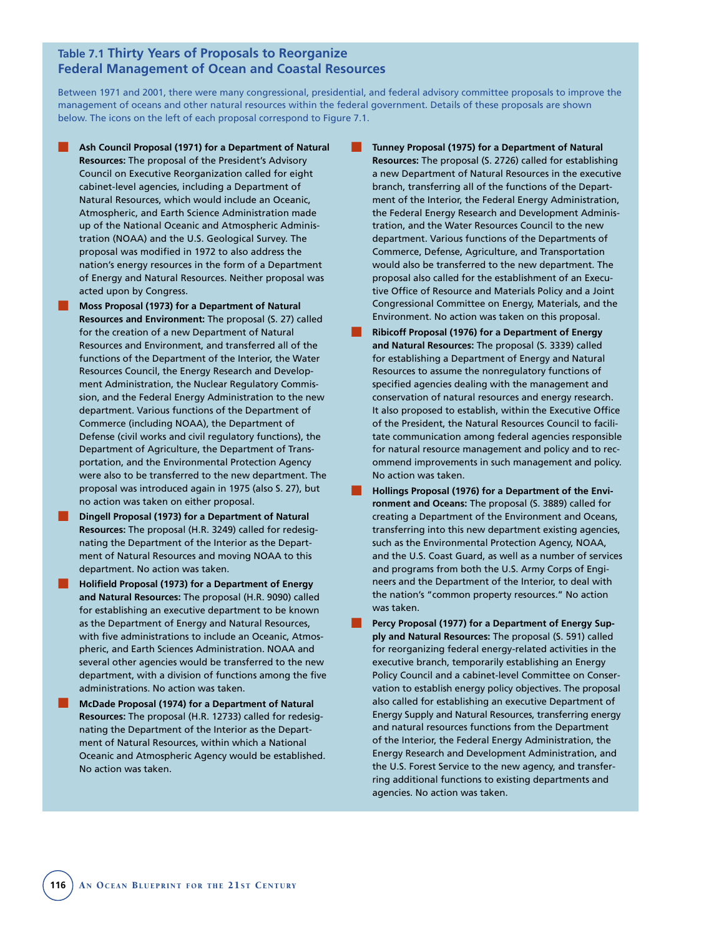## **Table 7.1 Thirty Years of Proposals to Reorganize Federal Management of Ocean and Coastal Resources**

Between 1971 and 2001, there were many congressional, presidential, and federal advisory committee proposals to improve the management of oceans and other natural resources within the federal government. Details of these proposals are shown below. The icons on the left of each proposal correspond to Figure 7.1.

- Ash Council Proposal (1971) for a Department of Natural **Resources:** The proposal of the President's Advisory Council on Executive Reorganization called for eight cabinet-level agencies, including a Department of Natural Resources, which would include an Oceanic, Atmospheric, and Earth Science Administration made up of the National Oceanic and Atmospheric Administration (NOAA) and the U.S. Geological Survey. The proposal was modified in 1972 to also address the nation's energy resources in the form of a Department of Energy and Natural Resources. Neither proposal was acted upon by Congress.
- **Moss Proposal (1973) for a Department of Natural Resources and Environment:** The proposal (S. 27) called for the creation of a new Department of Natural Resources and Environment, and transferred all of the functions of the Department of the Interior, the Water Resources Council, the Energy Research and Development Administration, the Nuclear Regulatory Commission, and the Federal Energy Administration to the new department. Various functions of the Department of Commerce (including NOAA), the Department of Defense (civil works and civil regulatory functions), the Department of Agriculture, the Department of Transportation, and the Environmental Protection Agency were also to be transferred to the new department. The proposal was introduced again in 1975 (also S. 27), but no action was taken on either proposal.
- **Dingell Proposal (1973) for a Department of Natural Resources:** The proposal (H.R. 3249) called for redesignating the Department of the Interior as the Department of Natural Resources and moving NOAA to this department. No action was taken.
- **Holifield Proposal (1973) for a Department of Energy and Natural Resources:** The proposal (H.R. 9090) called for establishing an executive department to be known as the Department of Energy and Natural Resources, with five administrations to include an Oceanic, Atmospheric, and Earth Sciences Administration. NOAA and several other agencies would be transferred to the new department, with a division of functions among the five administrations. No action was taken.
- **McDade Proposal (1974) for a Department of Natural Resources:** The proposal (H.R. 12733) called for redesignating the Department of the Interior as the Department of Natural Resources, within which a National Oceanic and Atmospheric Agency would be established. No action was taken.
- **Tunney Proposal (1975) for a Department of Natural Resources:** The proposal (S. 2726) called for establishing a new Department of Natural Resources in the executive branch, transferring all of the functions of the Department of the Interior, the Federal Energy Administration, the Federal Energy Research and Development Administration, and the Water Resources Council to the new department. Various functions of the Departments of Commerce, Defense, Agriculture, and Transportation would also be transferred to the new department. The proposal also called for the establishment of an Executive Office of Resource and Materials Policy and a Joint Congressional Committee on Energy, Materials, and the Environment. No action was taken on this proposal.
- **Ribicoff Proposal (1976) for a Department of Energy and Natural Resources:** The proposal (S. 3339) called for establishing a Department of Energy and Natural Resources to assume the nonregulatory functions of specified agencies dealing with the management and conservation of natural resources and energy research. It also proposed to establish, within the Executive Office of the President, the Natural Resources Council to facilitate communication among federal agencies responsible for natural resource management and policy and to recommend improvements in such management and policy. No action was taken.
- **Hollings Proposal (1976) for a Department of the Environment and Oceans:** The proposal (S. 3889) called for creating a Department of the Environment and Oceans, transferring into this new department existing agencies, such as the Environmental Protection Agency, NOAA, and the U.S. Coast Guard, as well as a number of services and programs from both the U.S. Army Corps of Engineers and the Department of the Interior, to deal with the nation's "common property resources." No action was taken.
- Percy Proposal (1977) for a Department of Energy Sup**ply and Natural Resources:** The proposal (S. 591) called for reorganizing federal energy-related activities in the executive branch, temporarily establishing an Energy Policy Council and a cabinet-level Committee on Conservation to establish energy policy objectives. The proposal also called for establishing an executive Department of Energy Supply and Natural Resources, transferring energy and natural resources functions from the Department of the Interior, the Federal Energy Administration, the Energy Research and Development Administration, and the U.S. Forest Service to the new agency, and transferring additional functions to existing departments and agencies. No action was taken.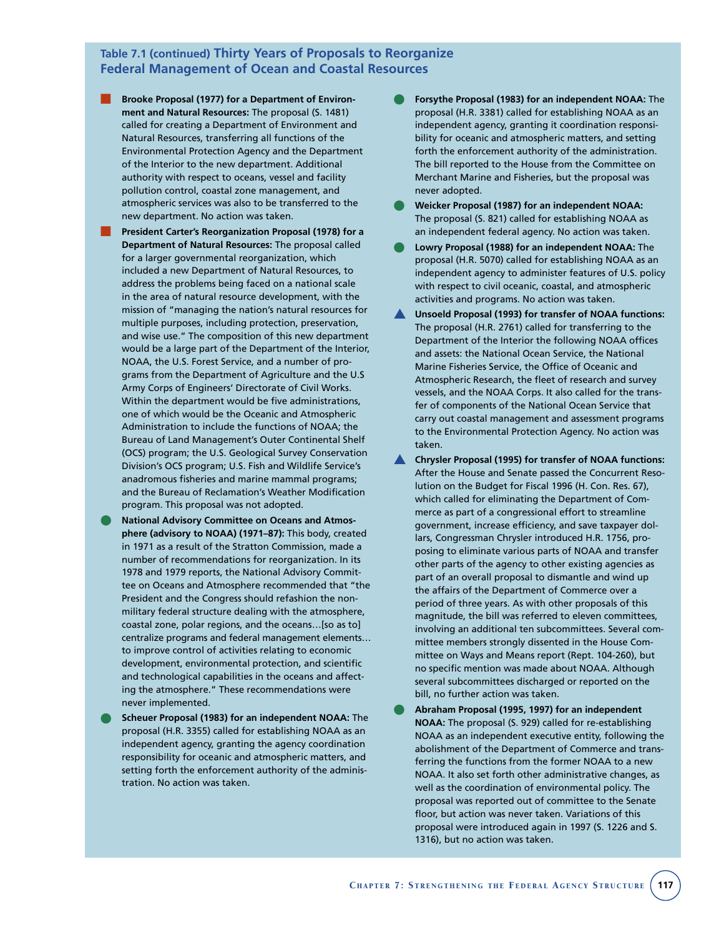## **Table 7.1 (continued) Thirty Years of Proposals to Reorganize Federal Management of Ocean and Coastal Resources**

- Brooke Proposal (1977) for a Department of Environ**ment and Natural Resources:** The proposal (S. 1481) called for creating a Department of Environment and Natural Resources, transferring all functions of the Environmental Protection Agency and the Department of the Interior to the new department. Additional authority with respect to oceans, vessel and facility pollution control, coastal zone management, and atmospheric services was also to be transferred to the new department. No action was taken.
- **President Carter's Reorganization Proposal (1978) for a Department of Natural Resources:** The proposal called for a larger governmental reorganization, which included a new Department of Natural Resources, to address the problems being faced on a national scale in the area of natural resource development, with the mission of "managing the nation's natural resources for multiple purposes, including protection, preservation, and wise use." The composition of this new department would be a large part of the Department of the Interior, NOAA, the U.S. Forest Service, and a number of programs from the Department of Agriculture and the U.S Army Corps of Engineers' Directorate of Civil Works. Within the department would be five administrations, one of which would be the Oceanic and Atmospheric Administration to include the functions of NOAA; the Bureau of Land Management's Outer Continental Shelf (OCS) program; the U.S. Geological Survey Conservation Division's OCS program; U.S. Fish and Wildlife Service's anadromous fisheries and marine mammal programs; and the Bureau of Reclamation's Weather Modification program. This proposal was not adopted.
- **National Advisory Committee on Oceans and Atmosphere (advisory to NOAA) (1971–87):** This body, created in 1971 as a result of the Stratton Commission, made a number of recommendations for reorganization. In its 1978 and 1979 reports, the National Advisory Committee on Oceans and Atmosphere recommended that "the President and the Congress should refashion the nonmilitary federal structure dealing with the atmosphere, coastal zone, polar regions, and the oceans…[so as to] centralize programs and federal management elements… to improve control of activities relating to economic development, environmental protection, and scientific and technological capabilities in the oceans and affecting the atmosphere." These recommendations were never implemented.
- **Scheuer Proposal (1983) for an independent NOAA:** The proposal (H.R. 3355) called for establishing NOAA as an independent agency, granting the agency coordination responsibility for oceanic and atmospheric matters, and setting forth the enforcement authority of the administration. No action was taken.
- **Forsythe Proposal (1983) for an independent NOAA: The** proposal (H.R. 3381) called for establishing NOAA as an independent agency, granting it coordination responsibility for oceanic and atmospheric matters, and setting forth the enforcement authority of the administration. The bill reported to the House from the Committee on Merchant Marine and Fisheries, but the proposal was never adopted.
- **Weicker Proposal (1987) for an independent NOAA:** The proposal (S. 821) called for establishing NOAA as an independent federal agency. No action was taken.
- **Lowry Proposal (1988) for an independent NOAA:** The proposal (H.R. 5070) called for establishing NOAA as an independent agency to administer features of U.S. policy with respect to civil oceanic, coastal, and atmospheric activities and programs. No action was taken.
- ▲ **Unsoeld Proposal (1993) for transfer of NOAA functions:** The proposal (H.R. 2761) called for transferring to the Department of the Interior the following NOAA offices and assets: the National Ocean Service, the National Marine Fisheries Service, the Office of Oceanic and Atmospheric Research, the fleet of research and survey vessels, and the NOAA Corps. It also called for the transfer of components of the National Ocean Service that carry out coastal management and assessment programs to the Environmental Protection Agency. No action was taken.
- **Chrysler Proposal (1995) for transfer of NOAA functions:** After the House and Senate passed the Concurrent Resolution on the Budget for Fiscal 1996 (H. Con. Res. 67), which called for eliminating the Department of Commerce as part of a congressional effort to streamline government, increase efficiency, and save taxpayer dollars, Congressman Chrysler introduced H.R. 1756, proposing to eliminate various parts of NOAA and transfer other parts of the agency to other existing agencies as part of an overall proposal to dismantle and wind up the affairs of the Department of Commerce over a period of three years. As with other proposals of this magnitude, the bill was referred to eleven committees, involving an additional ten subcommittees. Several committee members strongly dissented in the House Committee on Ways and Means report (Rept. 104-260), but no specific mention was made about NOAA. Although several subcommittees discharged or reported on the bill, no further action was taken.
- **Abraham Proposal (1995, 1997) for an independent NOAA:** The proposal (S. 929) called for re-establishing NOAA as an independent executive entity, following the abolishment of the Department of Commerce and transferring the functions from the former NOAA to a new NOAA. It also set forth other administrative changes, as well as the coordination of environmental policy. The proposal was reported out of committee to the Senate floor, but action was never taken. Variations of this proposal were introduced again in 1997 (S. 1226 and S. 1316), but no action was taken.